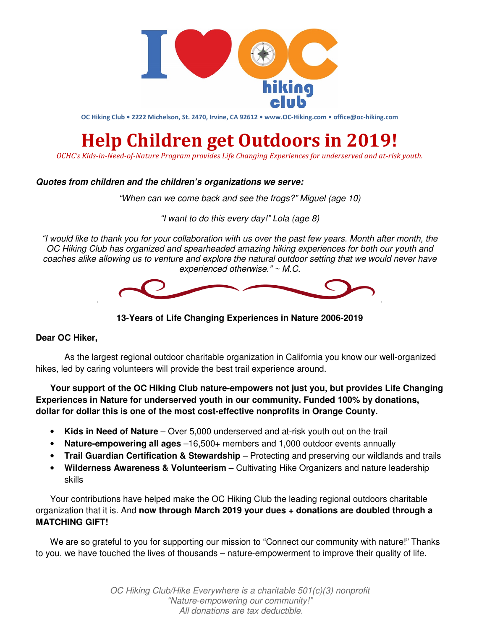

**OC Hiking Club • 2222 Michelson, St. 2470, Irvine, CA 92612 • www.OC-Hiking.com • office@oc-hiking.com**

## **Help Children get Outdoors in 2019!**

*OCHC's Kids-in-Need-of-Nature Program provides Life Changing Experiences for underserved and at-risk youth.* 

## **Quotes from children and the children's organizations we serve:**

"When can we come back and see the frogs?" Miguel (age 10)

"I want to do this every day!" Lola (age 8)

"I would like to thank you for your collaboration with us over the past few years. Month after month, the OC Hiking Club has organized and spearheaded amazing hiking experiences for both our youth and coaches alike allowing us to venture and explore the natural outdoor setting that we would never have experienced otherwise." ~ M.C.



**13-Years of Life Changing Experiences in Nature 2006-2019** 

## **Dear OC Hiker,**

As the largest regional outdoor charitable organization in California you know our well-organized hikes, led by caring volunteers will provide the best trail experience around.

**Your support of the OC Hiking Club nature-empowers not just you, but provides Life Changing Experiences in Nature for underserved youth in our community. Funded 100% by donations, dollar for dollar this is one of the most cost-effective nonprofits in Orange County.** 

- **Kids in Need of Nature** Over 5,000 underserved and at-risk youth out on the trail
- **Nature-empowering all ages** –16,500+ members and 1,000 outdoor events annually
- **Trail Guardian Certification & Stewardship** Protecting and preserving our wildlands and trails
- **Wilderness Awareness & Volunteerism** Cultivating Hike Organizers and nature leadership skills

Your contributions have helped make the OC Hiking Club the leading regional outdoors charitable organization that it is. And **now through March 2019 your dues + donations are doubled through a MATCHING GIFT!**

We are so grateful to you for supporting our mission to "Connect our community with nature!" Thanks to you, we have touched the lives of thousands – nature-empowerment to improve their quality of life.